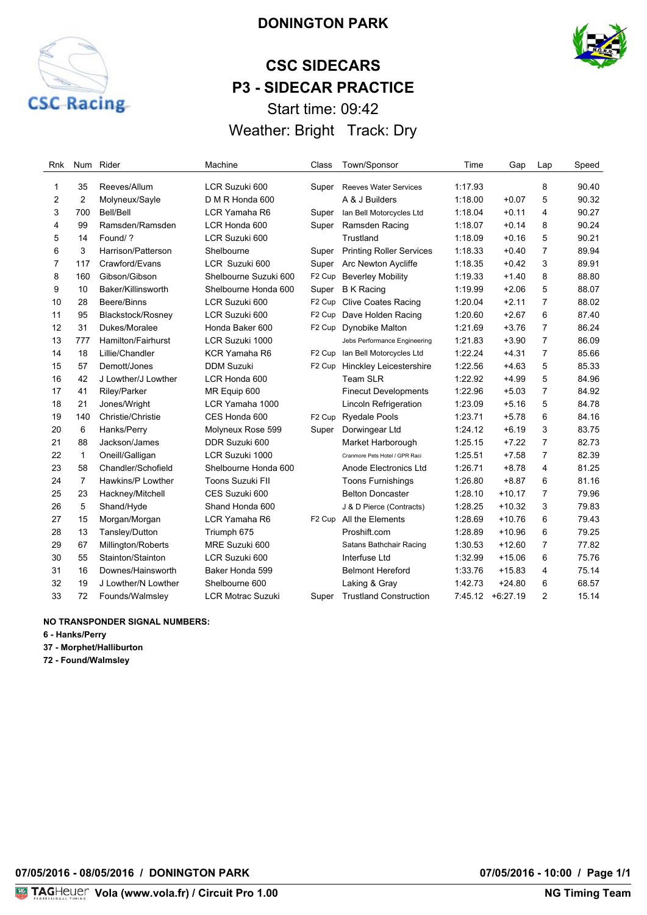

# **DONINGTON PARK**

# **CSC SIDECARS P3 - SIDECAR PRACTICE** Start time: 09:42

Weather: Bright Track: Dry

| Rnk | Num            | Rider               | Machine                  | Class              | Town/Sponsor                    | Time    | Gap        | Lap            | Speed |
|-----|----------------|---------------------|--------------------------|--------------------|---------------------------------|---------|------------|----------------|-------|
| 1   | 35             | Reeves/Allum        | LCR Suzuki 600           | Super              | <b>Reeves Water Services</b>    | 1:17.93 |            | 8              | 90.40 |
| 2   | $\overline{2}$ | Molyneux/Sayle      | D M R Honda 600          |                    | A & J Builders                  | 1:18.00 | $+0.07$    | 5              | 90.32 |
| 3   | 700            | Bell/Bell           | LCR Yamaha R6            | Super              | Ian Bell Motorcycles Ltd        | 1:18.04 | $+0.11$    | 4              | 90.27 |
| 4   | 99             | Ramsden/Ramsden     | LCR Honda 600            | Super              | Ramsden Racing                  | 1:18.07 | $+0.14$    | 8              | 90.24 |
| 5   | 14             | Found/?             | LCR Suzuki 600           |                    | Trustland                       | 1:18.09 | $+0.16$    | 5              | 90.21 |
| 6   | 3              | Harrison/Patterson  | Shelbourne               | Super              | <b>Printing Roller Services</b> | 1:18.33 | $+0.40$    | $\overline{7}$ | 89.94 |
| 7   | 117            | Crawford/Evans      | LCR Suzuki 600           | Super              | Arc Newton Aycliffe             | 1:18.35 | $+0.42$    | 3              | 89.91 |
| 8   | 160            | Gibson/Gibson       | Shelbourne Suzuki 600    | F <sub>2</sub> Cup | <b>Beverley Mobility</b>        | 1:19.33 | $+1.40$    | 8              | 88.80 |
| 9   | 10             | Baker/Killinsworth  | Shelbourne Honda 600     | Super              | <b>B</b> K Racing               | 1:19.99 | $+2.06$    | 5              | 88.07 |
| 10  | 28             | Beere/Binns         | LCR Suzuki 600           | F <sub>2</sub> Cup | <b>Clive Coates Racing</b>      | 1:20.04 | $+2.11$    | $\overline{7}$ | 88.02 |
| 11  | 95             | Blackstock/Rosney   | LCR Suzuki 600           | F <sub>2</sub> Cup | Dave Holden Racing              | 1:20.60 | $+2.67$    | 6              | 87.40 |
| 12  | 31             | Dukes/Moralee       | Honda Baker 600          | F <sub>2</sub> Cup | Dynobike Malton                 | 1:21.69 | $+3.76$    | $\overline{7}$ | 86.24 |
| 13  | 777            | Hamilton/Fairhurst  | LCR Suzuki 1000          |                    | Jebs Performance Engineering    | 1:21.83 | $+3.90$    | $\overline{7}$ | 86.09 |
| 14  | 18             | Lillie/Chandler     | KCR Yamaha R6            | F <sub>2</sub> Cup | Ian Bell Motorcycles Ltd        | 1:22.24 | $+4.31$    | $\overline{7}$ | 85.66 |
| 15  | 57             | Demott/Jones        | <b>DDM Suzuki</b>        | F <sub>2</sub> Cup | <b>Hinckley Leicestershire</b>  | 1:22.56 | $+4.63$    | 5              | 85.33 |
| 16  | 42             | J Lowther/J Lowther | LCR Honda 600            |                    | <b>Team SLR</b>                 | 1:22.92 | $+4.99$    | 5              | 84.96 |
| 17  | 41             | Riley/Parker        | MR Equip 600             |                    | <b>Finecut Developments</b>     | 1:22.96 | $+5.03$    | $\overline{7}$ | 84.92 |
| 18  | 21             | Jones/Wright        | LCR Yamaha 1000          |                    | Lincoln Refrigeration           | 1:23.09 | $+5.16$    | 5              | 84.78 |
| 19  | 140            | Christie/Christie   | CES Honda 600            | F <sub>2</sub> Cup | <b>Ryedale Pools</b>            | 1:23.71 | $+5.78$    | 6              | 84.16 |
| 20  | 6              | Hanks/Perry         | Molyneux Rose 599        | Super              | Dorwingear Ltd                  | 1:24.12 | $+6.19$    | 3              | 83.75 |
| 21  | 88             | Jackson/James       | DDR Suzuki 600           |                    | Market Harborough               | 1:25.15 | $+7.22$    | 7              | 82.73 |
| 22  | $\mathbf{1}$   | Oneill/Galligan     | LCR Suzuki 1000          |                    | Cranmore Pets Hotel / GPR Raci  | 1:25.51 | $+7.58$    | $\overline{7}$ | 82.39 |
| 23  | 58             | Chandler/Schofield  | Shelbourne Honda 600     |                    | Anode Electronics Ltd           | 1:26.71 | $+8.78$    | 4              | 81.25 |
| 24  | $\overline{7}$ | Hawkins/P Lowther   | Toons Suzuki FII         |                    | <b>Toons Furnishings</b>        | 1:26.80 | $+8.87$    | 6              | 81.16 |
| 25  | 23             | Hackney/Mitchell    | CES Suzuki 600           |                    | <b>Belton Doncaster</b>         | 1:28.10 | $+10.17$   | 7              | 79.96 |
| 26  | 5              | Shand/Hyde          | Shand Honda 600          |                    | J & D Pierce (Contracts)        | 1:28.25 | $+10.32$   | 3              | 79.83 |
| 27  | 15             | Morgan/Morgan       | LCR Yamaha R6            | F <sub>2</sub> Cup | All the Elements                | 1:28.69 | $+10.76$   | 6              | 79.43 |
| 28  | 13             | Tansley/Dutton      | Triumph 675              |                    | Proshift.com                    | 1:28.89 | $+10.96$   | 6              | 79.25 |
| 29  | 67             | Millington/Roberts  | MRE Suzuki 600           |                    | Satans Bathchair Racing         | 1:30.53 | $+12.60$   | $\overline{7}$ | 77.82 |
| 30  | 55             | Stainton/Stainton   | LCR Suzuki 600           |                    | Interfuse Ltd                   | 1:32.99 | $+15.06$   | 6              | 75.76 |
| 31  | 16             | Downes/Hainsworth   | Baker Honda 599          |                    | <b>Belmont Hereford</b>         | 1:33.76 | $+15.83$   | 4              | 75.14 |
| 32  | 19             | J Lowther/N Lowther | Shelbourne 600           |                    | Laking & Gray                   | 1:42.73 | $+24.80$   | 6              | 68.57 |
| 33  | 72             | Founds/Walmsley     | <b>LCR Motrac Suzuki</b> | Super              | <b>Trustland Construction</b>   | 7:45.12 | $+6:27.19$ | 2              | 15.14 |

#### **NO TRANSPONDER SIGNAL NUMBERS:**

**6 - Hanks/Perry**

**37 - Morphet/Halliburton**

**72 - Found/Walmsley**

**07/05/2016 - 08/05/2016 / DONINGTON PARK 07/05/2016 - 10:00 / Page 1/1**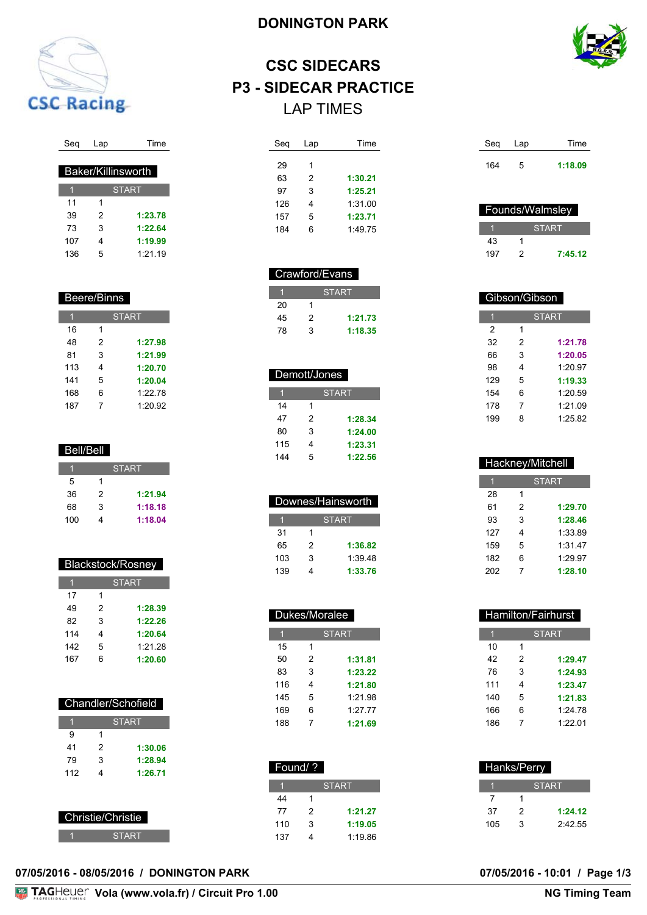

# Seq Lap Time

| <b>Baker/Killinsworth</b> |              |         |  |  |
|---------------------------|--------------|---------|--|--|
|                           | <b>START</b> |         |  |  |
| 11                        | 1            |         |  |  |
| 39                        | 2            | 1:23.78 |  |  |
| 73                        | 3            | 1:22.64 |  |  |
| 107                       | 4            | 1:19.99 |  |  |
| 136                       | 5            | 1:21.19 |  |  |

### Beere/Binns

|     |   | <b>START</b> |
|-----|---|--------------|
| 16  | 1 |              |
| 48  | 2 | 1:27.98      |
| 81  | 3 | 1:21.99      |
| 113 | 4 | 1:20.70      |
| 141 | 5 | 1:20.04      |
| 168 | 6 | 1:22.78      |
| 187 | 7 | 1:20.92      |

#### Bell/Bell

|     |   | <b>START</b> |
|-----|---|--------------|
| 5   | 1 |              |
| 36  | 2 | 1:21.94      |
| 68  | 3 | 1:18.18      |
| 100 | 4 | 1:18.04      |

# Blackstock/Rosney

|     |   | <b>START</b> |
|-----|---|--------------|
| 17  | 1 |              |
| 49  | 2 | 1:28.39      |
| 82  | 3 | 1:22.26      |
| 114 | 4 | 1:20.64      |
| 142 | 5 | 1:21.28      |
| 167 | 6 | 1:20.60      |

| Chandler/Schofield |              |         |  |  |
|--------------------|--------------|---------|--|--|
|                    | <b>START</b> |         |  |  |
| 9                  | 1            |         |  |  |
| 41                 | 2            | 1:30.06 |  |  |
| 79                 | 3            | 1:28.94 |  |  |
| 112                | 4            | 1:26.71 |  |  |
|                    |              |         |  |  |

| Christie/Christie |
|-------------------|
| SIARI             |

# **DONINGTON PARK**



# **CSC SIDECARS P3 - SIDECAR PRACTICE** LAP TIMES

| Seg | Lap | <b>Time</b> |
|-----|-----|-------------|
|     |     |             |
| 29  | 1   |             |
| 63  | 2   | 1:30.21     |
| 97  | 3   | 1:25.21     |
| 126 | 4   | 1:31.00     |
| 157 | 5   | 1:23.71     |
| 184 | 6   | 1.4975      |
|     |     |             |

#### Crawford/Evans

|    |   | <b>START</b> |
|----|---|--------------|
| 20 |   |              |
| 45 | 2 | 1:21.73      |
| 78 | 3 | 1:18.35      |

### Demott/Jones

| Π   |   | <b>START</b> |
|-----|---|--------------|
| 14  | 1 |              |
| 47  | 2 | 1:28.34      |
| 80  | 3 | 1:24.00      |
| 115 | 4 | 1:23.31      |
| 144 | 5 | 1:22.56      |

| Downes/Hainsworth |              |         |  |  |
|-------------------|--------------|---------|--|--|
|                   | <b>START</b> |         |  |  |
| 31                | 1            |         |  |  |
| 65                | 2            | 1:36.82 |  |  |
| 103               | 3            | 1:39.48 |  |  |
| 139               | 4            | 1:33.76 |  |  |

| Dukes/Moralee |              |         |  |  |
|---------------|--------------|---------|--|--|
|               | <b>START</b> |         |  |  |
| 15            | 1            |         |  |  |
| 50            | 2            | 1:31.81 |  |  |
| 83            | 3            | 1:23.22 |  |  |
| 116           | 4            | 1:21.80 |  |  |
| 145           | 5            | 1:21.98 |  |  |
| 169           | 6            | 1:27.77 |  |  |
| 188           | 7            | 1:21.69 |  |  |

| Found/? |   |              |
|---------|---|--------------|
|         |   | <b>START</b> |
| 44      |   |              |
| 77      | 2 | 1:21.27      |
| 110     | 3 | 1:19.05      |
| 137     |   | 1:19.86      |

| Seq | Lap | Time    |
|-----|-----|---------|
| 164 | 5   | 1:18.09 |

| Founds/Walmsley |  |              |
|-----------------|--|--------------|
|                 |  | <b>START</b> |
| 43              |  |              |
| 197             |  | 7:45.12      |

| Gibson/Gibson |   |              |  |
|---------------|---|--------------|--|
| 1             |   | <b>START</b> |  |
| 2             | 1 |              |  |
| 32            | 2 | 1:21.78      |  |
| 66            | 3 | 1:20.05      |  |
| 98            | 4 | 1:20.97      |  |
| 129           | 5 | 1:19.33      |  |
| 154           | 6 | 1:20.59      |  |
| 178           | 7 | 1:21.09      |  |
| 199           | 8 | 1:25.82      |  |

| Hackney/Mitchell |              |         |  |
|------------------|--------------|---------|--|
|                  | <b>START</b> |         |  |
| 28               | 1            |         |  |
| 61               | 2            | 1:29.70 |  |
| 93               | 3            | 1:28.46 |  |
| 127              | 4            | 1:33.89 |  |
| 159              | 5            | 1:31.47 |  |
| 182              | 6            | 1:29.97 |  |
| 202              | 7            | 1:28.10 |  |

| Hamilton/Fairhurst |     |   |              |  |
|--------------------|-----|---|--------------|--|
|                    |     |   | <b>START</b> |  |
|                    | 10  | 1 |              |  |
|                    | 42  | 2 | 1:29.47      |  |
|                    | 76  | 3 | 1:24.93      |  |
|                    | 111 | 4 | 1:23.47      |  |
|                    | 140 | 5 | 1:21.83      |  |
|                    | 166 | 6 | 1:24.78      |  |
|                    | 186 | 7 | 1:22.01      |  |

| Hanks/Perry |   |              |
|-------------|---|--------------|
|             |   | <b>START</b> |
|             |   |              |
| 37          | 2 | 1:24.12      |
| 105         | з | 2.42.55      |

#### **07/05/2016 - 08/05/2016 / DONINGTON PARK 07/05/2016 - 10:01 / Page 1/3**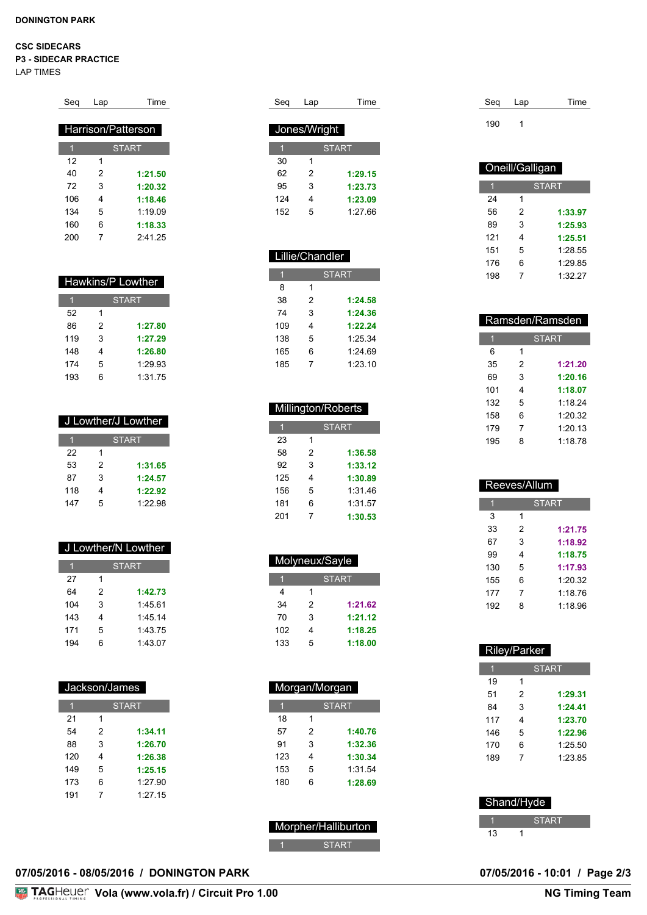#### **CSC SIDECARS**

**P3 - SIDECAR PRACTICE**

LAP TIMES

| Seq | Lap | Time               |
|-----|-----|--------------------|
|     |     |                    |
|     |     | Harrison/Patterson |
| 1   |     | <b>START</b>       |
| 12  | 1   |                    |
| 40  | 2   | 1:21.50            |
| 72  | 3   | 1:20.32            |
| 106 | 4   | 1:18.46            |
| 134 | 5   | 1.1909             |
| 160 | 6   | 1:18.33            |
| 200 | 7   | 2.41.25            |

| Hawkins/P Lowther |              |         |  |
|-------------------|--------------|---------|--|
|                   | <b>START</b> |         |  |
| 52                | 1            |         |  |
| 86                | 2            | 1:27.80 |  |
| 119               | 3            | 1:27.29 |  |
| 148               | 4            | 1:26.80 |  |
| 174               | 5            | 1:29.93 |  |
| 193               | 6            | 1:31.75 |  |

| J Lowther/J Lowther |              |         |
|---------------------|--------------|---------|
|                     | <b>START</b> |         |
| 22                  | 1            |         |
| 53                  | 2            | 1:31.65 |
| 87                  | 3            | 1:24.57 |
| 118                 | 4            | 1:22.92 |
| 147                 | 5            | 1.2298  |

| J Lowther/N Lowther |              |         |  |
|---------------------|--------------|---------|--|
|                     | <b>START</b> |         |  |
| 27                  | 1            |         |  |
| 64                  | 2            | 1:42.73 |  |
| 104                 | 3            | 1:45.61 |  |
| 143                 |              | 1:45.14 |  |

 5 1:43.75 6 1:43.07

| Jackson/James |              |         |  |
|---------------|--------------|---------|--|
| 1             | <b>START</b> |         |  |
| 21            | 1            |         |  |
| 54            | 2            | 1:34.11 |  |
| 88            | 3            | 1:26.70 |  |
| 120           | 4            | 1:26.38 |  |
| 149           | 5            | 1:25.15 |  |
| 173           | 6            | 1:27.90 |  |
| 191           | 7            | 1:27.15 |  |

| Seq | Lap          | <b>Time</b>  |
|-----|--------------|--------------|
|     |              |              |
|     | Jones/Wright |              |
|     |              | <b>START</b> |
| 30  | 1            |              |
| 62  | 2            | 1:29.15      |
| 95  | 3            | 1:23.73      |
| 124 | 4            | 1:23.09      |
| 152 | 5            | 1.27.66      |
|     |              |              |

### Lillie/Chandler

|     |   | <b>START</b> |
|-----|---|--------------|
| 8   | 1 |              |
| 38  | 2 | 1:24.58      |
| 74  | 3 | 1:24.36      |
| 109 | 4 | 1:22.24      |
| 138 | 5 | 1:25.34      |
| 165 | 6 | 1.2469       |
| 185 | 7 | 1:23.10      |

# Millington/Roberts

| 1   |   | <b>START</b> |
|-----|---|--------------|
| 23  | 1 |              |
| 58  | 2 | 1:36.58      |
| 92  | 3 | 1:33.12      |
| 125 | 4 | 1:30.89      |
| 156 | 5 | 1:31.46      |
| 181 | 6 | 1:31.57      |
| 201 | 7 | 1:30.53      |

| Molyneux/Sayle |   |              |
|----------------|---|--------------|
|                |   | <b>START</b> |
| 4              | 1 |              |
| 34             | 2 | 1:21.62      |
| 70             | 3 | 1:21.12      |
| 102            | 4 | 1:18.25      |
| 133            | 5 | 1:18.00      |

| Morgan/Morgan |              |         |  |
|---------------|--------------|---------|--|
|               | <b>START</b> |         |  |
| 18            | 1            |         |  |
| 57            | 2            | 1:40.76 |  |
| 91            | 3            | 1:32.36 |  |
| 123           | 4            | 1:30.34 |  |
| 153           | 5            | 1:31.54 |  |
| 180           | 6            | 1:28.69 |  |

# Morpher/Halliburton START

| Seg | Lap | Time |
|-----|-----|------|
| 190 |     |      |

| Oneill/Galligan |   |              |
|-----------------|---|--------------|
|                 |   | <b>START</b> |
| 24              | 1 |              |
| 56              | 2 | 1:33.97      |
| 89              | 3 | 1:25.93      |
| 121             | 4 | 1:25.51      |
| 151             | 5 | 1:28.55      |
| 176             | 6 | 1:29.85      |
| 198             | 7 | 1:32.27      |

| Ramsden/Ramsden |   |              |
|-----------------|---|--------------|
| 1               |   | <b>START</b> |
| 6               | 1 |              |
| 35              | 2 | 1:21.20      |
| 69              | 3 | 1:20.16      |
| 101             | 4 | 1:18.07      |
| 132             | 5 | 1.1824       |
| 158             | 6 | 1:20.32      |
| 179             | 7 | 1:20.13      |
| 195             | 8 | 1.1878       |

| Reeves/Allum |   |              |  |
|--------------|---|--------------|--|
|              |   | <b>START</b> |  |
| 3            | 1 |              |  |
| 33           | 2 | 1:21.75      |  |
| 67           | 3 | 1:18.92      |  |
| 99           | 4 | 1:18.75      |  |
| 130          | 5 | 1:17.93      |  |
| 155          | 6 | 1:20.32      |  |
| 177          | 7 | 1.1876       |  |
| 192          | 8 | 1.1896       |  |

| Riley/Parker  |              |  |
|---------------|--------------|--|
|               | <b>START</b> |  |
| 1             |              |  |
| $\mathcal{P}$ | 1:29.31      |  |
| 3             | 1:24.41      |  |
| 4             | 1:23.70      |  |
| 5             | 1:22.96      |  |
| 6             | 1:25.50      |  |
| 7             | 1:23.85      |  |
|               |              |  |

| Shand/Hyde |  |              |  |
|------------|--|--------------|--|
|            |  | <b>START</b> |  |
| 13         |  |              |  |

# **07/05/2016 - 08/05/2016 / DONINGTON PARK 07/05/2016 - 10:01 / Page 2/3**